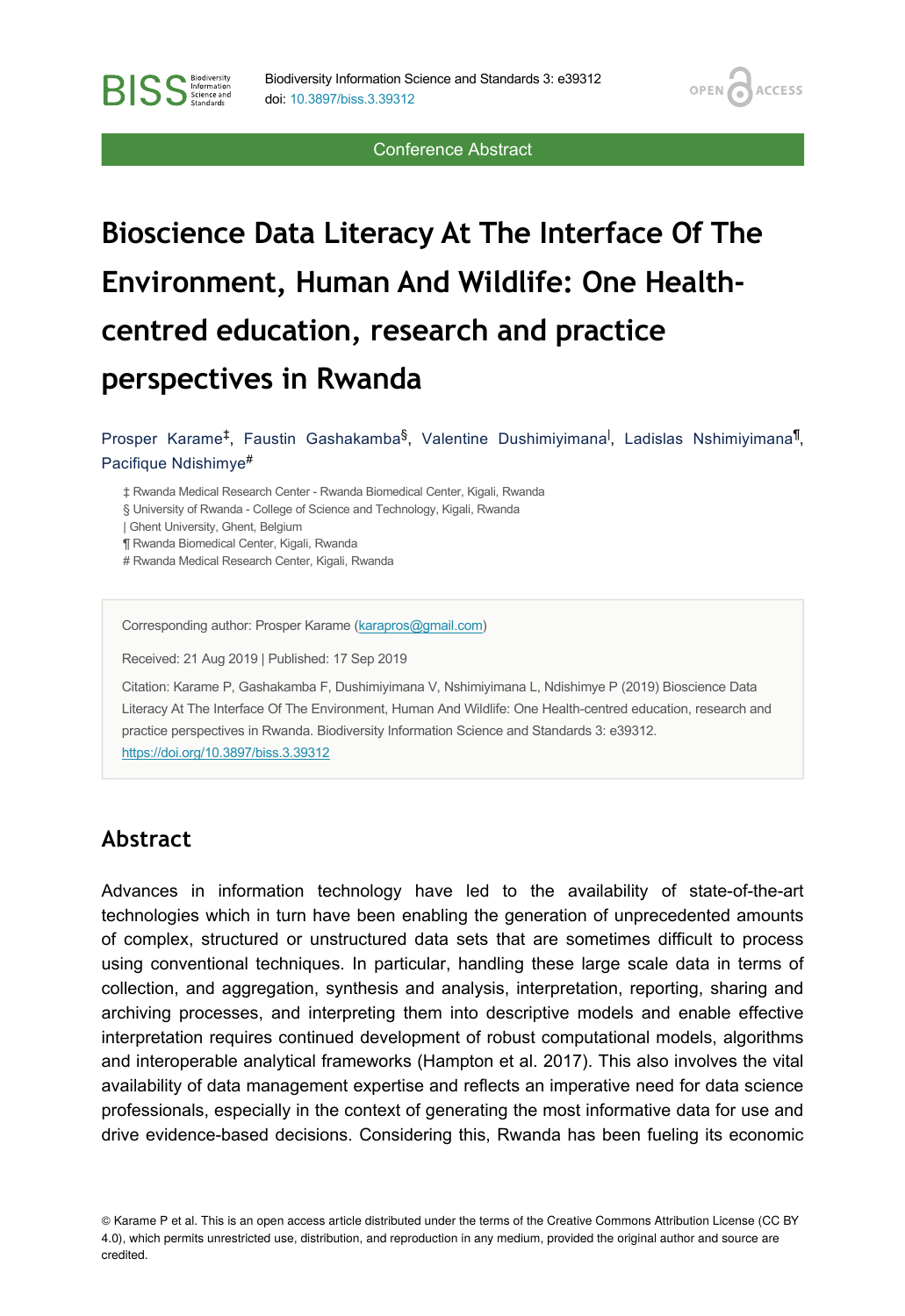Conference Abstract

**OPEN** 

**ACCESS** 

# **Bioscience Data Literacy At The Interface Of The Environment, Human And Wildlife: One Healthcentred education, research and practice perspectives in Rwanda**

Prosper Karame<sup>‡</sup>, Faustin Gashakamba<sup>§</sup>, Valentine Dushimiyimana<sup>l</sup>, Ladislas Nshimiyimana<sup>¶</sup>, Pacifique Ndishimye #

‡ Rwanda Medical Research Center - Rwanda Biomedical Center, Kigali, Rwanda

§ University of Rwanda - College of Science and Technology, Kigali, Rwanda

| Ghent University, Ghent, Belgium

**BISS** Steince and

¶ Rwanda Biomedical Center, Kigali, Rwanda

# Rwanda Medical Research Center, Kigali, Rwanda

Corresponding author: Prosper Karame [\(karapros@gmail.com](mailto:karapros@gmail.com))

Received: 21 Aug 2019 | Published: 17 Sep 2019

Citation: Karame P, Gashakamba F, Dushimiyimana V, Nshimiyimana L, Ndishimye P (2019) Bioscience Data Literacy At The Interface Of The Environment, Human And Wildlife: One Health-centred education, research and practice perspectives in Rwanda. Biodiversity Information Science and Standards 3: e39312. <https://doi.org/10.3897/biss.3.39312>

#### **Abstract**

Advances in information technology have led to the availability of state-of-the-art technologies which in turn have been enabling the generation of unprecedented amounts of complex, structured or unstructured data sets that are sometimes difficult to process using conventional techniques. In particular, handling these large scale data in terms of collection, and aggregation, synthesis and analysis, interpretation, reporting, sharing and archiving processes, and interpreting them into descriptive models and enable effective interpretation requires continued development of robust computational models, algorithms and interoperable analytical frameworks (Hampton et al. 2017). This also involves the vital availability of data management expertise and reflects an imperative need for data science professionals, especially in the context of generating the most informative data for use and drive evidence-based decisions. Considering this, Rwanda has been fueling its economic

© Karame P et al. This is an open access article distributed under the terms of the Creative Commons Attribution License (CC BY 4.0), which permits unrestricted use, distribution, and reproduction in any medium, provided the original author and source are credited.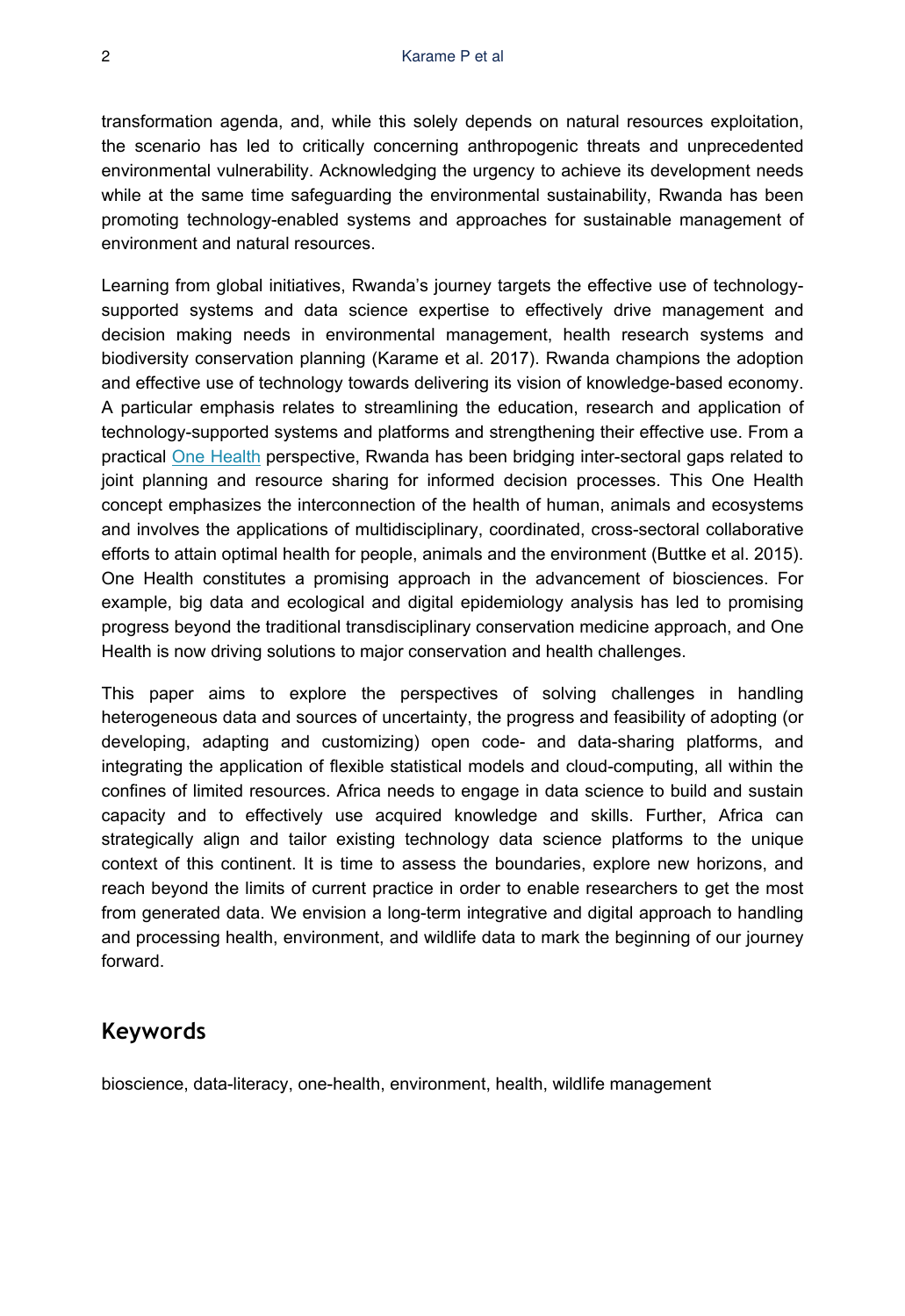transformation agenda, and, while this solely depends on natural resources exploitation, the scenario has led to critically concerning anthropogenic threats and unprecedented environmental vulnerability. Acknowledging the urgency to achieve its development needs while at the same time safeguarding the environmental sustainability, Rwanda has been promoting technology-enabled systems and approaches for sustainable management of environment and natural resources.

Learning from global initiatives, Rwanda's journey targets the effective use of technologysupported systems and data science expertise to effectively drive management and decision making needs in environmental management, health research systems and biodiversity conservation planning (Karame et al. 2017). Rwanda champions the adoption and effective use of technology towards delivering its vision of knowledge-based economy. A particular emphasis relates to streamlining the education, research and application of technology-supported systems and platforms and strengthening their effective use. From a practical [One Health](https://www.who.int/features/qa/one-health/en/) perspective, Rwanda has been bridging inter-sectoral gaps related to joint planning and resource sharing for informed decision processes. This One Health concept emphasizes the interconnection of the health of human, animals and ecosystems and involves the applications of multidisciplinary, coordinated, cross-sectoral collaborative efforts to attain optimal health for people, animals and the environment (Buttke et al. 2015). One Health constitutes a promising approach in the advancement of biosciences. For example, big data and ecological and digital epidemiology analysis has led to promising progress beyond the traditional transdisciplinary conservation medicine approach, and One Health is now driving solutions to major conservation and health challenges.

This paper aims to explore the perspectives of solving challenges in handling heterogeneous data and sources of uncertainty, the progress and feasibility of adopting (or developing, adapting and customizing) open code- and data-sharing platforms, and integrating the application of flexible statistical models and cloud-computing, all within the confines of limited resources. Africa needs to engage in data science to build and sustain capacity and to effectively use acquired knowledge and skills. Further, Africa can strategically align and tailor existing technology data science platforms to the unique context of this continent. It is time to assess the boundaries, explore new horizons, and reach beyond the limits of current practice in order to enable researchers to get the most from generated data. We envision a long-term integrative and digital approach to handling and processing health, environment, and wildlife data to mark the beginning of our journey forward.

#### **Keywords**

bioscience, data-literacy, one-health, environment, health, wildlife management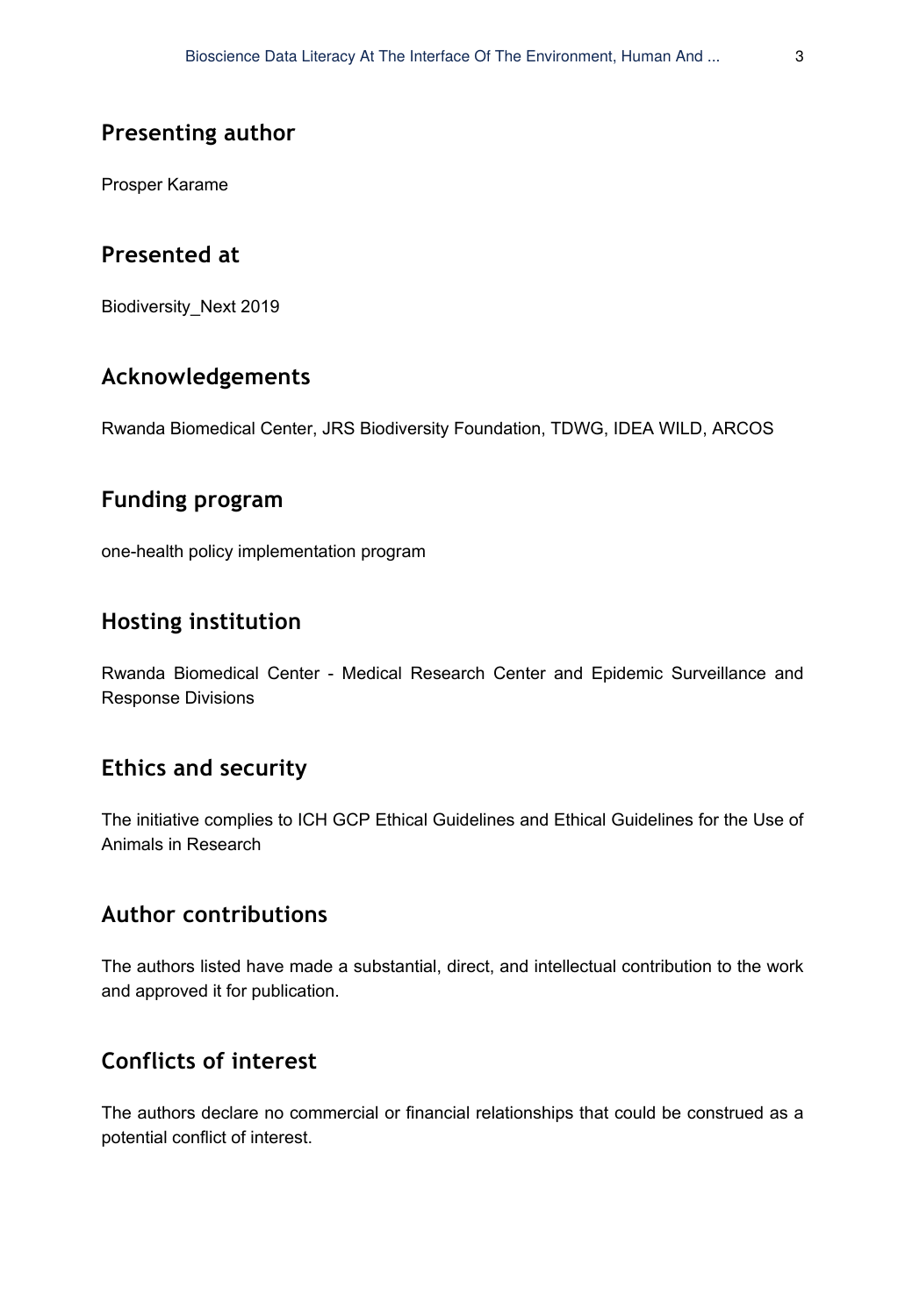## **Presenting author**

Prosper Karame

## **Presented at**

Biodiversity\_Next 2019

## **Acknowledgements**

Rwanda Biomedical Center, JRS Biodiversity Foundation, TDWG, IDEA WILD, ARCOS

## **Funding program**

one-health policy implementation program

## **Hosting institution**

Rwanda Biomedical Center - Medical Research Center and Epidemic Surveillance and Response Divisions

#### **Ethics and security**

The initiative complies to ICH GCP Ethical Guidelines and Ethical Guidelines for the Use of Animals in Research

#### **Author contributions**

The authors listed have made a substantial, direct, and intellectual contribution to the work and approved it for publication.

# **Conflicts of interest**

The authors declare no commercial or financial relationships that could be construed as a potential conflict of interest.